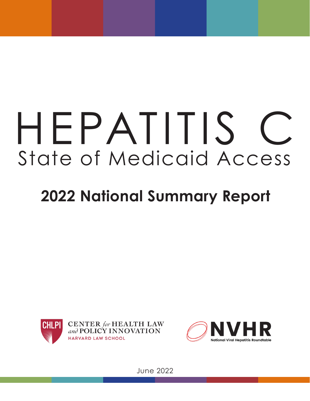# HEPATITIS State of Medicaid Access

## **2022 National Summary Report**



**CENTER** for HEALTH LAW and POLICY INNOVATION **HARVARD LAW SCHOOL** 



June 2022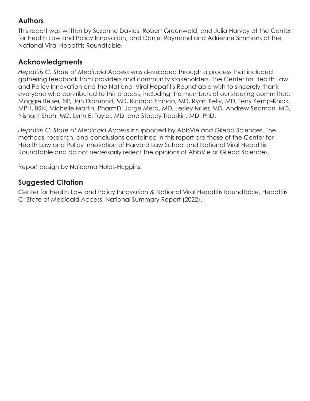## **Authors**

This report was written by Suzanne Davies, Robert Greenwald, and Julia Harvey at the Center for Health Law and Policy Innovation, and Daniel Raymond and Adrienne Simmons at the National Viral Hepatitis Roundtable.

## **Acknowledgments**

*Hepatitis C: State of Medicaid Access* was developed through a process that included gathering feedback from providers and community stakeholders. The Center for Health Law and Policy Innovation and the National Viral Hepatitis Roundtable wish to sincerely thank everyone who contributed to this process, including the members of our steering committee: Maggie Beiser, NP, Jan Diamond, MD, Ricardo Franco, MD, Ryan Kelly, MD, Terry Kemp-Knick, MPH, BSN, Michelle Martin, PharmD, Jorge Mera, MD, Lesley Miller, MD, Andrew Seaman, MD, Nishant Shah, MD, Lynn E. Taylor, MD, and Stacey Trooskin, MD, PhD.

*Hepatitis C: State of Medicaid Access* is supported by AbbVie and Gilead Sciences. The methods, research, and conclusions contained in this report are those of the Center for Health Law and Policy Innovation of Harvard Law School and National Viral Hepatitis Roundtable and do not necessarily reflect the opinions of AbbVie or Gilead Sciences.

Report design by Najeema Holas-Huggins.

## **Suggested Citation**

Center for Health Law and Policy Innovation & National Viral Hepatitis Roundtable, Hepatitis C: State of Medicaid Access, National Summary Report (2022).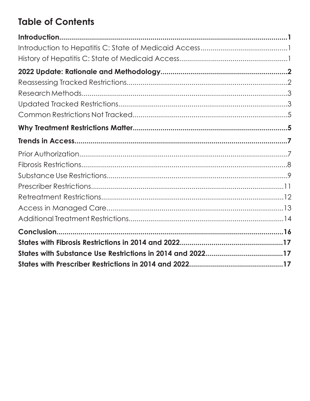## **Table of Contents**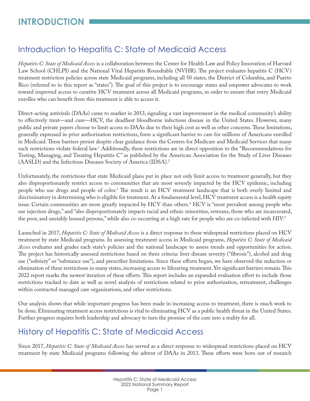## Introduction to Hepatitis C: State of Medicaid Access

*Hepatitis C: State of Medicaid Access* is a collaboration between the Center for Health Law and Policy Innovation of Harvard Law School (CHLPI) and the National Viral Hepatitis Roundtable (NVHR). The project evaluates hepatitis C (HCV) treatment restriction policies across state Medicaid programs, including all 50 states, the District of Columbia, and Puerto Rico (referred to in this report as "states"). The goal of this project is to encourage states and empower advocates to work toward improved access to curative HCV treatment across all Medicaid programs, in order to ensure that every Medicaid enrollee who can benefit from this treatment is able to access it.

Direct-acting antivirals (DAAs) came to market in 2013, signaling a vast improvement in the medical community's ability to effectively treat—and cure—HCV, the deadliest bloodborne infectious disease in the United States. However, many public and private payers choose to limit access to DAAs due to their high cost as well as other concerns. These limitations, generally expressed in prior authorization restrictions, form a significant barrier to care for millions of Americans enrolled in Medicaid. These barriers persist despite clear guidance from the Centers for Medicare and Medicaid Services that many such restrictions violate federal law[.1](#page-23-0) Additionally, these restrictions are in direct opposition to the "Recommendations for Testing, Managing, and Treating Hepatitis C" as published by the American Association for the Study of Liver Diseases (AASLD) and the Infectious Diseases Society of America (IDSA)[.2](#page-23-0)

Unfortunately, the restrictions that state Medicaid plans put in place not only limit access to treatment generally, but they also disproportionately restrict access to communities that are most severely impacted by the HCV epidemic, including people who use drugs and people of color[.3](#page-23-0) The result is an HCV treatment landscape that is both overly limited and discriminatory in determining who is eligible for treatment. At a fundamental level, HCV treatment access is a health equity issue. Certain communities are more greatly impacted by HCV than others[.4](#page-23-0) HCV is "most prevalent among people who use injection drugs," and "also disproportionately impacts racial and ethnic minorities, veterans, those who are incarcerated, the poor, and unstably housed persons," while also co-occurring at a high rate for people who are co-infected with HIV.<sup>[5](#page-23-0)</sup>

Launched in 2017, *Hepatitis C: State of Medicaid Access* is a direct response to these widespread restrictions placed on HCV treatment by state Medicaid programs. In assessing treatment access in Medicaid programs, *Hepatitis C: State of Medicaid Access* evaluates and grades each state's policies and the national landscape to assess trends and opportunities for action. The project has historically assessed restrictions based on three criteria: liver disease severity ("fibrosis"), alcohol and drug use ("sobriety" or "substance use"), and prescriber limitations. Since these efforts began, we have observed the reduction or elimination of these restrictions in many states, increasing access to lifesaving treatment. Yet significant barriers remain. This 2022 report marks the newest iteration of these efforts. This report includes an expanded evaluation effort to include those restrictions tracked to date as well as novel analysis of restrictions related to prior authorization, retreatment, challenges within contracted managed care organizations, and other restrictions.

Our analysis shows that while important progress has been made in increasing access to treatment, there is much work to be done. Eliminating treatment access restrictions is vital to eliminating HCV as a public health threat in the United States. Further progress requires both leadership and advocacy to turn the promise of the cure into a reality for all.

## History of Hepatitis C: State of Medicaid Access

Since 2017, *Hepatitis C: State of Medicaid Access* has served as a direct response to widespread restrictions placed on HCV treatment by state Medicaid programs following the advent of DAAs in 2013. These efforts were born out of research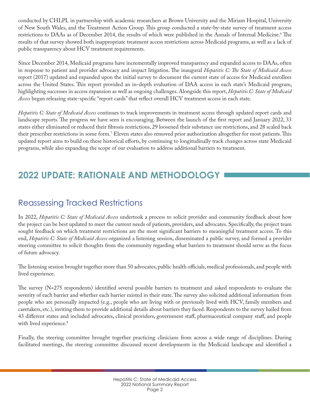conducted by CHLPI*,* in partnership with academic researchers at Brown University and the Miriam Hospital, University of New South Wales, and the Treatment Action Group. This group conducted a state-by-state survey of treatment access restrictions to DAAs as of December 2014, the results of which were published in the Annals of Internal Medicine.<sup>6</sup> The results of that survey showed both inappropriate treatment access restrictions across Medicaid programs, as well as a lack of public transparency about HCV treatment requirements.

Since December 2014, Medicaid programs have incrementally improved transparency and expanded access to DAAs, often in response to patient and provider advocacy and impact litigation. The inaugural *Hepatitis C: The State of Medicaid Access* report (2017) updated and expanded upon the initial survey to document the current state of access for Medicaid enrollees across the United States. This report provided an in-depth evaluation of DAA access in each state's Medicaid program, highlighting successes in access expansion as well as ongoing challenges. Alongside this report, *Hepatitis C: State of Medicaid Access* began releasing state-specific "report cards" that reflect overall HCV treatment access in each state.

*Hepatitis C: State of Medicaid Access* continues to track improvements in treatment access through updated report cards and landscape reports. The progress we have seen is encouraging. Between the launch of the first report and January 2022, 33 states either eliminated or reduced their fibrosis restrictions, 29 loosened their substance use restrictions, and 28 scaled back their prescriber restrictions in some form[.7](#page-23-0) Eleven states also removed prior authorization altogether for most patients. This updated report aims to build on these historical efforts, by continuing to longitudinally track changes across state Medicaid programs, while also expanding the scope of our evaluation to address additional barriers to treatment.

## **2022 UPDATE: RATIONALE AND METHODOLOGY**

## Reassessing Tracked Restrictions

In 2022, *Hepatitis C: State of Medicaid Access* undertook a process to solicit provider and community feedback about how the project can be best updated to meet the current needs of patients, providers, and advocates. Specifically, the project team sought feedback on which treatment restrictions are the most significant barriers to meaningful treatment access. To this end, *Hepatitis C: State of Medicaid Access* organized a listening session, disseminated a public survey, and formed a provider steering committee to solicit thoughts from the community regarding what barriers to treatment should serve as the focus of future advocacy.

The listening session brought together more than 50 advocates, public health officials, medical professionals, and people with lived experience.

The survey (N=275 respondents) identified several possible barriers to treatment and asked respondents to evaluate the severity of each barrier and whether each barrier existed in their state. The survey also solicited additional information from people who are personally impacted (e.g., people who are living with or previously lived with HCV, family members and caretakers, etc.), inviting them to provide additional details about barriers they faced. Respondents to the survey hailed from 43 different states and included advocates, clinical providers, government staff, pharmaceutical company staff, and people with lived experience.<sup>8</sup>

Finally, the steering committee brought together practicing clinicians from across a wide range of disciplines. During facilitated meetings, the steering committee discussed recent developments in the Medicaid landscape and identified a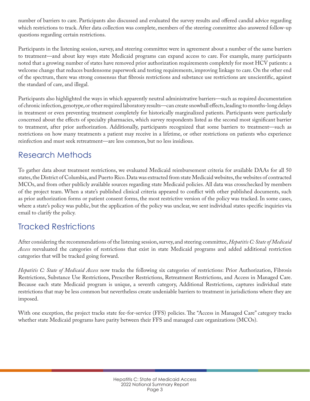number of barriers to care. Participants also discussed and evaluated the survey results and offered candid advice regarding which restrictions to track. After data collection was complete, members of the steering committee also answered follow-up questions regarding certain restrictions.

Participants in the listening session, survey, and steering committee were in agreement about a number of the same barriers to treatment—and about key ways state Medicaid programs can expand access to care. For example, many participants noted that a growing number of states have removed prior authorization requirements completely for most HCV patients: a welcome change that reduces burdensome paperwork and testing requirements, improving linkage to care. On the other end of the spectrum, there was strong consensus that fibrosis restrictions and substance use restrictions are unscientific, against the standard of care, and illegal.

Participants also highlighted the ways in which apparently neutral administrative barriers—such as required documentation of chronic infection, genotype, or other required laboratory results—can create snowball effects, leading to months-long delays in treatment or even preventing treatment completely for historically marginalized patients. Participants were particularly concerned about the effects of specialty pharmacies, which survey respondents listed as the second most significant barrier to treatment, after prior authorization. Additionally, participants recognized that some barriers to treatment—such as restrictions on how many treatments a patient may receive in a lifetime, or other restrictions on patients who experience reinfection and must seek retreatment—are less common, but no less insidious.

## Research Methods

To gather data about treatment restrictions, we evaluated Medicaid reimbursement criteria for available DAAs for all 50 states, the District of Columbia, and Puerto Rico. Data was extracted from state Medicaid websites, the websites of contracted MCOs, and from other publicly available sources regarding state Medicaid policies. All data was crosschecked by members of the project team. When a state's published clinical criteria appeared to conflict with other published documents, such as prior authorization forms or patient consent forms, the most restrictive version of the policy was tracked. In some cases, where a state's policy was public, but the application of the policy was unclear, we sent individual states specific inquiries via email to clarify the policy.

## Tracked Restrictions

After considering the recommendations of the listening session, survey, and steering committee, *Hepatitis C: State of Medicaid Access* reevaluated the categories of restrictions that exist in state Medicaid programs and added additional restriction categories that will be tracked going forward.

*Hepatitis C: State of Medicaid Access* now tracks the following six categories of restrictions: Prior Authorization, Fibrosis Restrictions, Substance Use Restrictions, Prescriber Restrictions, Retreatment Restrictions, and Access in Managed Care. Because each state Medicaid program is unique, a seventh category, Additional Restrictions, captures individual state restrictions that may be less common but nevertheless create undeniable barriers to treatment in jurisdictions where they are imposed.

With one exception, the project tracks state fee-for-service (FFS) policies. The "Access in Managed Care" category tracks whether state Medicaid programs have parity between their FFS and managed care organizations (MCOs).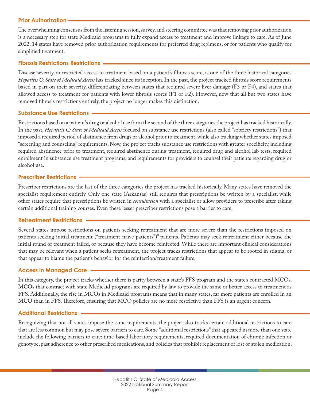#### **Prior Authorization**

The overwhelming consensus from the listening session, survey, and steering committee was that removing prior authorization is a necessary step for state Medicaid programs to fully expand access to treatment and improve linkage to care. As of June 2022, 14 states have removed prior authorization requirements for preferred drug regimens, or for patients who qualify for simplified treatment.

#### **Fibrosis Restrictions Restrictions**

Disease severity, or restricted access to treatment based on a patient's fibrosis score, is one of the three historical categories *Hepatitis C: State of Medicaid Access* has tracked since its inception. In the past, the project tracked fibrosis score requirements based in part on their severity, differentiating between states that required severe liver damage (F3 or F4), and states that allowed access to treatment for patients with lower fibrosis scores (F1 or F2). However, now that all but two states have removed fibrosis restrictions entirely, the project no longer makes this distinction.

#### **Substance Use Restrictions**

Restrictions based on a patient's drug or alcohol use form the second of the three categories the project has tracked historically. In the past, *Hepatitis C: State of Medicaid Access* focused on substance use restrictions (also called "sobriety restrictions") that imposed a required period of abstinence from drugs or alcohol prior to treatment, while also tracking whether states imposed "screening and counseling" requirements. Now, the project tracks substance use restrictions with greater specificity, including required abstinence prior to treatment, required abstinence during treatment, required drug and alcohol lab tests, required enrollment in substance use treatment programs, and requirements for providers to counsel their patients regarding drug or alcohol use.

#### **Prescriber Restrictions**

Prescriber restrictions are the last of the three categories the project has tracked historically. Many states have removed the specialist requirement entirely. Only one state (Arkansas) still requires that prescriptions be written by a specialist, while other states require that prescriptions be written in *consultation* with a specialist or allow providers to prescribe after taking certain additional training courses. Even these lesser prescriber restrictions pose a barrier to care.

#### **Retreatment Restrictions**

Several states impose restrictions on patients seeking retreatment that are more severe than the restrictions imposed on patients seeking initial treatment ("treatment-naïve patients")" patients. Patients may seek retreatment either because the initial round of treatment failed, or because they have become reinfected. While there are important clinical considerations that may be relevant when a patient seeks retreatment, the project tracks restrictions that appear to be rooted in stigma, or that appear to blame the patient's behavior for the reinfection/treatment failure.

#### **Access in Managed Care**

In this category, the project tracks whether there is parity between a state's FFS program and the state's contracted MCOs. MCOs that contract with state Medicaid programs are required by law to provide the same or better access to treatment as FFS. Additionally, the rise in MCOs in Medicaid programs means that in many states, far more patients are enrolled in an MCO than in FFS. Therefore, ensuring that MCO policies are no more restrictive than FFS is an urgent concern.

#### **Additional Restrictions**

Recognizing that not all states impose the same requirements, the project also tracks certain additional restrictions to care that are less common but may pose severe barriers to care. Some "additional restrictions" that appeared in more than one state include the following barriers to care: time-based laboratory requirements, required documentation of chronic infection or genotype, past adherence to other prescribed medications, and policies that prohibit replacement of lost or stolen medication.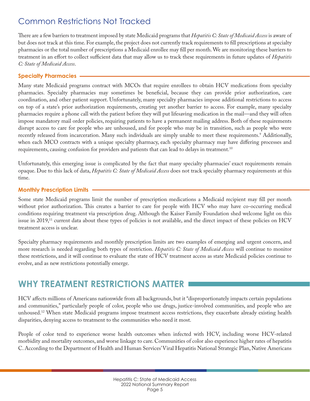## Common Restrictions Not Tracked

There are a few barriers to treatment imposed by state Medicaid programs that *Hepatitis C: State of Medicaid Access* is aware of but does not track at this time. For example, the project does not currently track requirements to fill prescriptions at specialty pharmacies or the total number of prescriptions a Medicaid enrollee may fill per month. We are monitoring these barriers to treatment in an effort to collect sufficient data that may allow us to track these requirements in future updates of *Hepatitis C: State of Medicaid Access*.

#### **Specialty Pharmacies**

Many state Medicaid programs contract with MCOs that require enrollees to obtain HCV medications from specialty pharmacies. Specialty pharmacies may sometimes be beneficial, because they can provide prior authorization, care coordination, and other patient support. Unfortunately, many specialty pharmacies impose additional restrictions to access on top of a state's prior authorization requirements, creating yet another barrier to access. For example, many specialty pharmacies require a phone call with the patient before they will put lifesaving medication in the mail—and they will often impose mandatory mail order policies, requiring patients to have a permanent mailing address. Both of these requirements disrupt access to care for people who are unhoused, and for people who may be in transition, such as people who were recently released from incarceration. Many such individuals are simply unable to meet these requirements.[9](#page-23-0) Additionally, when each MCO contracts with a unique specialty pharmacy, each specialty pharmacy may have differing processes and requirements, causing confusion for providers and patients that can lead to delays in treatment[.10](#page-23-0)

Unfortunately, this emerging issue is complicated by the fact that many specialty pharmacies' exact requirements remain opaque. Due to this lack of data, *Hepatitis C: State of Medicaid Access* does not track specialty pharmacy requirements at this time.

#### **Monthly Prescription Limits**

Some state Medicaid programs limit the number of prescription medications a Medicaid recipient may fill per month without prior authorization. This creates a barrier to care for people with HCV who may have co-occurring medical conditions requiring treatment via prescription drug. Although the Kaiser Family Foundation shed welcome light on this issue in 2019,<sup>11</sup> current data about these types of policies is not available, and the direct impact of these policies on HCV treatment access is unclear.

Specialty pharmacy requirements and monthly prescription limits are two examples of emerging and urgent concern, and more research is needed regarding both types of restriction. *Hepatitis C: State of Medicaid Access* will continue to monitor these restrictions, and it will continue to evaluate the state of HCV treatment access as state Medicaid policies continue to evolve, and as new restrictions potentially emerge.

## **WHY TREATMENT RESTRICTIONS MATTER**

HCV affects millions of Americans nationwide from all backgrounds, but it "disproportionately impacts certain populations and communities," particularly people of color, people who use drugs, justice-involved communities, and people who are unhoused.<sup>12</sup> When state Medicaid programs impose treatment access restrictions, they exacerbate already existing health disparities, denying access to treatment to the communities who need it most.

People of color tend to experience worse health outcomes when infected with HCV, including worse HCV-related morbidity and mortality outcomes, and worse linkage to care. Communities of color also experience higher rates of hepatitis C. According to the Department of Health and Human Services' Viral Hepatitis National Strategic Plan, Native Americans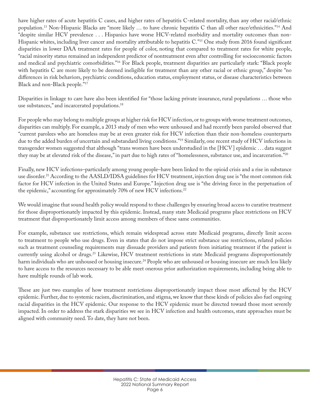have higher rates of acute hepatitis C cases, and higher rates of hepatitis C-related mortality, than any other racial/ethnic population[.13](#page-23-0) Non-Hispanic Blacks are "more likely … to have chronic hepatitis C than all other race/ethnicities.["14](#page-23-0) And "despite similar HCV prevalence . . . Hispanics have worse HCV-related morbidity and mortality outcomes than non-Hispanic whites, including liver cancer and mortality attributable to hepatitis C."<sup>[15](#page-23-0)</sup> One study from 2016 found significant disparities in lower DAA treatment rates for people of color, noting that compared to treatment rates for white people, "racial minority status remained an independent predictor of nontreatment even after controlling for socioeconomic factors and medical and psychiatric comorbidities.["16](#page-23-0) For Black people, treatment disparities are particularly stark: "Black people with hepatitis C are more likely to be deemed ineligible for treatment than any other racial or ethnic group," despite "no differences in risk behaviors, psychiatric conditions, education status, employment status, or disease characteristics between Black and non-Black people."[17](#page-23-0)

Disparities in linkage to care have also been identified for "those lacking private insurance, rural populations … those who use substances," and incarcerated populations.<sup>18</sup>

For people who may belong to multiple groups at higher risk for HCV infection, or to groups with worse treatment outcomes, disparities can multiply. For example, a 2013 study of men who were unhoused and had recently been paroled observed that "current parolees who are homeless may be at even greater risk for HCV infection than their non-homeless counterparts due to the added burden of uncertain and substandard living conditions.["19](#page-23-0) Similarly, one recent study of HCV infections in transgender women suggested that although "trans women have been understudied in the [HCV] epidemic . . . data suggest they may be at elevated risk of the disease," in part due to high rates of "homelessness, substance use, and incarceration."[20](#page-23-0)

Finally, new HCV infections–particularly among young people–have been linked to the opioid crisis and a rise in substance use disorder.<sup>21</sup> According to the AASLD/IDSA guidelines for HCV treatment, injection drug use is "the most common risk factor for HCV infection in the United States and Europe." Injection drug use is "the driving force in the perpetuation of the epidemic," accounting for approximately 70% of new HCV infections.<sup>[22](#page-23-0)</sup>

We would imagine that sound health policy would respond to these challenges by ensuring broad access to curative treatment for those disproportionately impacted by this epidemic. Instead, many state Medicaid programs place restrictions on HCV treatment that disproportionately limit access among members of these same communities.

For example, substance use restrictions, which remain widespread across state Medicaid programs, directly limit access to treatment to people who use drugs. Even in states that do not impose strict substance use restrictions, related policies such as treatment counseling requirements may dissuade providers and patients from initiating treatment if the patient is currently using alcohol or drugs.<sup>[23](#page-23-0)</sup> Likewise, HCV treatment restrictions in state Medicaid programs disproportionately harm individuals who are unhoused or housing insecure.<sup>[24](#page-24-0)</sup> People who are unhoused or housing insecure are much less likely to have access to the resources necessary to be able meet onerous prior authorization requirements, including being able to have multiple rounds of lab work.

These are just two examples of how treatment restrictions disproportionately impact those most affected by the HCV epidemic. Further, due to systemic racism, discrimination, and stigma, we know that these kinds of policies also fuel ongoing racial disparities in the HCV epidemic. Our response to the HCV epidemic must be directed toward those most severely impacted. In order to address the stark disparities we see in HCV infection and health outcomes, state approaches must be aligned with community need. To date, they have not been.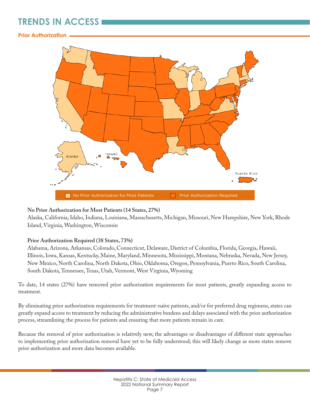## **TRENDS IN ACCESS**

#### **Prior Authorization**



#### **No Prior Authorization for Most Patients (14 States, 27%)**

Alaska, California, Idaho, Indiana, Louisiana, Massachusetts, Michigan, Missouri, New Hampshire, New York, Rhode Island, Virginia, Washington, Wisconsin

#### **Prior Authorization Required (38 States, 73%)**

Alabama, Arizona, Arkansas, Colorado, Connecticut, Delaware, District of Columbia, Florida, Georgia, Hawaii, Illinois, Iowa, Kansas, Kentucky, Maine, Maryland, Minnesota, Mississippi, Montana, Nebraska, Nevada, New Jersey, New Mexico, North Carolina, North Dakota, Ohio, Oklahoma, Oregon, Pennsylvania, Puerto Rico, South Carolina, South Dakota, Tennessee, Texas, Utah, Vermont, West Virginia, Wyoming

To date, 14 states (27%) have removed prior authorization requirements for most patients, greatly expanding access to treatment.

By eliminating prior authorization requirements for treatment-naïve patients, and/or for preferred drug regimens, states can greatly expand access to treatment by reducing the administrative burdens and delays associated with the prior authorization process, streamlining the process for patients and ensuring that more patients remain in care.

Because the removal of prior authorization is relatively new, the advantages or disadvantages of different state approaches to implementing prior authorization removal have yet to be fully understood; this will likely change as more states remove prior authorization and more data becomes available.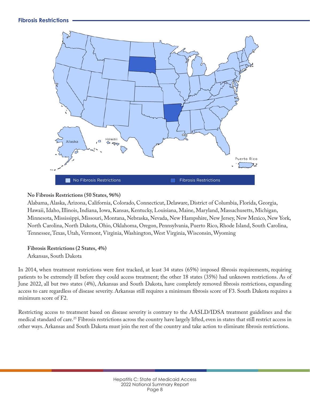

#### **No Fibrosis Restrictions (50 States, 96%)**

Alabama, Alaska, Arizona, California, Colorado, Connecticut, Delaware, District of Columbia, Florida, Georgia, Hawaii, Idaho, Illinois, Indiana, Iowa, Kansas, Kentucky, Louisiana, Maine, Maryland, Massachusetts, Michigan, Minnesota, Mississippi, Missouri, Montana, Nebraska, Nevada, New Hampshire, New Jersey, New Mexico, New York, North Carolina, North Dakota, Ohio, Oklahoma, Oregon, Pennsylvania, Puerto Rico, Rhode Island, South Carolina, Tennessee, Texas, Utah, Vermont, Virginia, Washington, West Virginia, Wisconsin, Wyoming

#### **Fibrosis Restrictions (2 States, 4%)**

Arkansas, South Dakota

In 2014, when treatment restrictions were first tracked, at least 34 states (65%) imposed fibrosis requirements, requiring patients to be extremely ill before they could access treatment; the other 18 states (35%) had unknown restrictions. As of June 2022, all but two states (4%), Arkansas and South Dakota, have completely removed fibrosis restrictions, expanding access to care regardless of disease severity. Arkansas still requires a minimum fibrosis score of F3. South Dakota requires a minimum score of F2.

Restricting access to treatment based on disease severity is contrary to the AASLD/IDSA treatment guidelines and the medical standard of care.<sup>[25](#page-24-0)</sup> Fibrosis restrictions across the country have largely lifted, even in states that still restrict access in other ways. Arkansas and South Dakota must join the rest of the country and take action to eliminate fibrosis restrictions.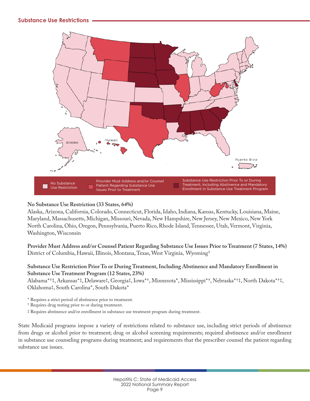#### **Substance Use Restrictions**



#### **No Substance Use Restriction (33 States, 64%)**

Alaska, Arizona, California, Colorado, Connecticut, Florida, Idaho, Indiana, Kansas, Kentucky, Louisiana, Maine, Maryland, Massachusetts, Michigan, Missouri, Nevada, New Hampshire, New Jersey, New Mexico, New York North Carolina, Ohio, Oregon, Pennsylvania, Puerto Rico, Rhode Island, Tennessee, Utah, Vermont, Virginia, Washington, Wisconsin

**Provider Must Address and/or Counsel Patient Regarding Substance Use Issues Prior to Treatment (7 States, 14%)** District of Columbia, Hawaii, Illinois, Montana, Texas, West Virginia, Wyoming†

#### **Substance Use Restriction Prior To or During Treatment, Including Abstinence and Mandatory Enrollment in Substance Use Treatment Program (12 States, 23%)**

Alabama\*†‡, Arkansas\*‡, Delaware‡, Georgia‡, Iowa\*†, Minnesota\*, Mississippi\*†, Nebraska\*†‡, North Dakota\*†‡, Oklahoma‡, South Carolina\*, South Dakota\*

\* Requires a strict period of abstinence prior to treatment.

† Requires drug testing prior to or during treatment.

‡ Requires abstinence and/or enrollment in substance use treatment program during treatment.

State Medicaid programs impose a variety of restrictions related to substance use, including strict periods of abstinence from drugs or alcohol prior to treatment; drug or alcohol screening requirements; required abstinence and/or enrollment in substance use counseling programs during treatment; and requirements that the prescriber counsel the patient regarding substance use issues.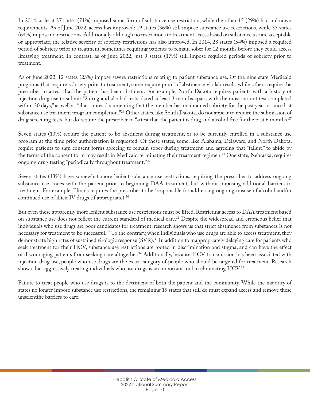In 2014, at least 37 states (71%) imposed some form of substance use restriction, while the other 15 (29%) had unknown requirements. As of June 2022, access has improved: 19 states (36%) still impose substance use restrictions, while 33 states (64%) impose no restrictions. Additionally, although no restrictions to treatment access based on substance use are acceptable or appropriate, the relative severity of sobriety restrictions has also improved. In 2014, 28 states (54%) imposed a required period of sobriety prior to treatment, sometimes requiring patients to remain sober for 12 months before they could access lifesaving treatment. In contrast, as of June 2022, just 9 states (17%) still impose required periods of sobriety prior to treatment.

As of June 2022, 12 states (23%) impose severe restrictions relating to patient substance use. Of the nine state Medicaid programs that require sobriety prior to treatment, some require proof of abstinence via lab result, while others require the prescriber to attest that the patient has been abstinent. For example, North Dakota requires patients with a history of injection drug use to submit "2 drug and alcohol tests, dated at least 3 months apart, with the most current test completed within 30 days," as well as "chart notes documenting that the member has maintained sobriety for the past year or since last substance use treatment program completion."<sup>26</sup> Other states, like South Dakota, do not appear to require the submission of drug screening tests, but do require the prescriber to "attest that the patient is drug and alcohol free for the past 6 months.<sup>[27](#page-24-0)</sup>

Seven states (13%) require the patient to be abstinent during treatment, or to be currently enrolled in a substance use program at the time prior authorization is requested. Of these states, some, like Alabama, Delaware, and North Dakota, require patients to sign consent forms agreeing to remain sober during treatment–and agreeing that "failure" to abide by the terms of the consent form may result in Medicaid terminating their treatment regimen.<sup>28</sup> One state, Nebraska, requires ongoing drug testing "periodically throughout treatment."[29](#page-24-0)

Seven states (13%) have somewhat more lenient substance use restrictions, requiring the prescriber to address ongoing substance use issues with the patient prior to beginning DAA treatment, but without imposing additional barriers to treatment. For example, Illinois requires the prescriber to be "responsible for addressing ongoing misuse of alcohol and/or continued use of illicit IV drugs (if appropriate).<sup>30</sup>

But even these apparently more lenient substance use restrictions must be lifted. Restricting access to DAA treatment based on substance use does not reflect the current standard of medical care.<sup>31</sup> Despite the widespread and erroneous belief that individuals who use drugs are poor candidates for treatment, research shows us that strict abstinence from substances is not necessary for treatment to be successful.<sup>32</sup> To the contrary, when individuals who use drugs are able to access treatment, they demonstrate high rates of sustained virologic response (SVR).<sup>[33](#page-24-0)</sup> In addition to inappropriately delaying care for patients who seek treatment for their HCV, substance use restrictions are rooted in discrimination and stigma, and can have the effect of discouraging patients from seeking care altogether[.34](#page-24-0) Additionally, because HCV transmission has been associated with injection drug use, people who use drugs are the exact category of people who should be targeted for treatment. Research shows that aggressively treating individuals who use drugs is an important tool in eliminating HCV[.35](#page-24-0)

Failure to treat people who use drugs is to the detriment of both the patient and the community. While the majority of states no longer impose substance use restrictions, the remaining 19 states that still do must expand access and remove these unscientific barriers to care.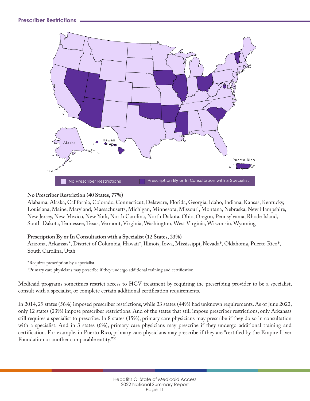

#### **No Prescriber Restriction (40 States, 77%)**

Alabama, Alaska, California, Colorado, Connecticut, Delaware, Florida, Georgia, Idaho, Indiana, Kansas, Kentucky, Louisiana, Maine, Maryland, Massachusetts, Michigan, Minnesota, Missouri, Montana, Nebraska, New Hampshire, New Jersey, New Mexico, New York, North Carolina, North Dakota, Ohio, Oregon, Pennsylvania, Rhode Island, South Dakota, Tennessee, Texas, Vermont, Virginia, Washington, West Virginia, Wisconsin, Wyoming

#### **Prescription By or In Consultation with a Specialist (12 States, 23%)**

Arizona, Arkansas\*, District of Columbia, Hawaii†, Illinois, Iowa, Mississippi, Nevada†, Oklahoma, Puerto Rico†, South Carolina, Utah

\*Requires prescription by a specialist.

†Primary care physicians may prescribe if they undergo additional training and certification.

Medicaid programs sometimes restrict access to HCV treatment by requiring the prescribing provider to be a specialist, consult with a specialist, or complete certain additional certification requirements.

In 2014, 29 states (56%) imposed prescriber restrictions, while 23 states (44%) had unknown requirements. As of June 2022, only 12 states (23%) impose prescriber restrictions. And of the states that still impose prescriber restrictions, only Arkansas still requires a specialist to prescribe. In 8 states (15%), primary care physicians may prescribe if they do so in consultation with a specialist. And in 3 states (6%), primary care physicians may prescribe if they undergo additional training and certification. For example, in Puerto Rico, primary care physicians may prescribe if they are "certified by the Empire Liver Foundation or another comparable entity."[36](#page-24-0)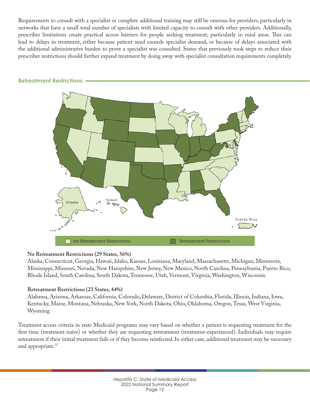Requirements to consult with a specialist or complete additional training may still be onerous for providers, particularly in networks that have a small total number of specialists with limited capacity to consult with other providers. Additionally, prescriber limitations create practical access barriers for people seeking treatment, particularly in rural areas. This can lead to delays in treatment, either because patient need exceeds specialist demand, or because of delays associated with the additional administrative burden to prove a specialist was consulted. States that previously took steps to reduce their prescriber restrictions should further expand treatment by doing away with specialist consultation requirements completely.



#### **Retreatment Restrictions**

#### **No Retreatment Restrictions (29 States, 56%)**

Alaska, Connecticut, Georgia, Hawaii, Idaho, Kansas, Louisiana, Maryland, Massachusetts, Michigan, Minnesota, Mississippi, Missouri, Nevada, New Hampshire, New Jersey, New Mexico, North Carolina, Pennsylvania, Puerto Rico, Rhode Island, South Carolina, South Dakota, Tennessee, Utah, Vermont, Virginia, Washington, Wisconsin

#### **Retreatment Restrictions (23 States, 44%)**

Alabama, Arizona, Arkansas, California, Colorado, Delaware, District of Columbia, Florida, Illinois, Indiana, Iowa, Kentucky, Maine, Montana, Nebraska, New York, North Dakota, Ohio, Oklahoma, Oregon, Texas, West Virginia, Wyoming

Treatment access criteria in state Medicaid programs may vary based on whether a patient is requesting treatment for the first time (treatment-naïve) or whether they are requesting retreatment (treatment-experienced). Individuals may require retreatment if their initial treatment fails or if they become reinfected. In either case, additional treatment may be necessary and appropriate.<sup>37</sup>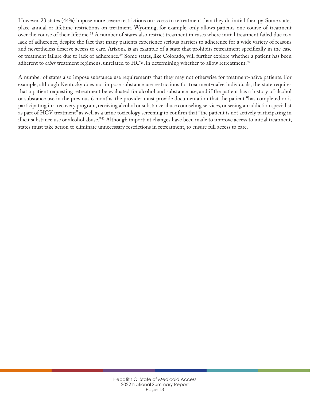However, 23 states (44%) impose more severe restrictions on access to retreatment than they do initial therapy. Some states place annual or lifetime restrictions on treatment. Wyoming, for example, only allows patients one course of treatment over the course of their lifetime.[38](#page-24-0) A number of states also restrict treatment in cases where initial treatment failed due to a lack of adherence, despite the fact that many patients experience serious barriers to adherence for a wide variety of reasons and nevertheless deserve access to care. Arizona is an example of a state that prohibits retreatment specifically in the case of treatment failure due to lack of adherence.<sup>[39](#page-24-0)</sup> Some states, like Colorado, will further explore whether a patient has been adherent to *other* treatment regimens, unrelated to HCV, in determining whether to allow retreatment.<sup>[40](#page-24-0)</sup>

A number of states also impose substance use requirements that they may not otherwise for treatment-naïve patients. For example, although Kentucky does not impose substance use restrictions for treatment-naïve individuals, the state requires that a patient requesting retreatment be evaluated for alcohol and substance use, and if the patient has a history of alcohol or substance use in the previous 6 months, the provider must provide documentation that the patient "has completed or is participating in a recovery program, receiving alcohol or substance abuse counseling services, or seeing an addiction specialist as part of HCV treatment" as well as a urine toxicology screening to confirm that "the patient is not actively participating in illicit substance use or alcohol abuse."<sup>41</sup> Although important changes have been made to improve access to initial treatment, states must take action to eliminate unnecessary restrictions in retreatment, to ensure full access to care.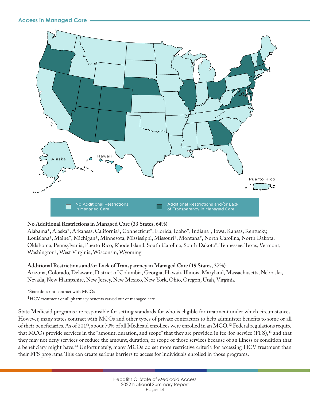

#### **No Additional Restrictions in Managed Care (33 States, 64%)**

Alabama\*, Alaska\*, Arkansas, California†, Connecticut\*, Florida, Idaho\*, Indiana†, Iowa, Kansas, Kentucky, Louisiana†, Maine\*, Michigan†, Minnesota, Mississippi, Missouri†, Montana\*, North Carolina, North Dakota, Oklahoma, Pennsylvania, Puerto Rico, Rhode Island, South Carolina, South Dakota\*, Tennessee, Texas, Vermont, Washington†, West Virginia, Wisconsin, Wyoming

#### **Additional Restrictions and/or Lack of Transparency in Managed Care (19 States, 37%)**

Arizona, Colorado, Delaware, District of Columbia, Georgia, Hawaii, Illinois, Maryland, Massachusetts, Nebraska, Nevada, New Hampshire, New Jersey, New Mexico, New York, Ohio, Oregon, Utah, Virginia

\*State does not contract with MCOs

†HCV treatment or all pharmacy benefits carved out of managed care

State Medicaid programs are responsible for setting standards for who is eligible for treatment under which circumstances. However, many states contract with MCOs and other types of private contractors to help administer benefits to some or all of their beneficiaries. As of 2019, about 70% of all Medicaid enrollees were enrolled in an MCO.<sup>42</sup> Federal regulations require that MCOs provide services in the "amount, duration, and scope" that they are provided in fee-for-service (FFS),<sup>43</sup> and that they may not deny services or reduce the amount, duration, or scope of those services because of an illness or condition that a beneficiary might have.<sup>44</sup> Unfortunately, many MCOs do set more restrictive criteria for accessing HCV treatment than their FFS programs. This can create serious barriers to access for individuals enrolled in those programs.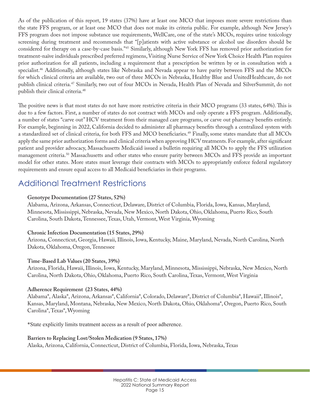As of the publication of this report, 19 states (37%) have at least one MCO that imposes more severe restrictions than the state FFS program, or at least one MCO that does not make its criteria public. For example, although New Jersey's FFS program does not impose substance use requirements, WellCare, one of the state's MCOs, requires urine toxicology screening during treatment and recommends that "[p]atients with active substance or alcohol use disorders should be considered for therapy on a case-by-case basis.["45](#page-25-0) Similarly, although New York FFS has removed prior authorization for treatment-naïve individuals prescribed preferred regimens, Visiting Nurse Service of New York Choice Health Plan requires prior authorization for all patients, including a requirement that a prescription be written by or in consultation with a specialist.<sup>46</sup> Additionally, although states like Nebraska and Nevada appear to have parity between FFS and the MCOs for which clinical criteria are available, two out of three MCOs in Nebraska, Healthy Blue and UnitedHealthcare, do not publish clinical criteria.<sup>47</sup> Similarly, two out of four MCOs in Nevada, Health Plan of Nevada and SilverSummit, do not publish their clinical criteria.<sup>[48](#page-25-0)</sup>

The positive news is that most states do not have more restrictive criteria in their MCO programs (33 states, 64%). This is due to a few factors. First, a number of states do not contract with MCOs and only operate a FFS program. Additionally, a number of states "carve out" HCV treatment from their managed care programs, or carve out pharmacy benefits entirely. For example, beginning in 2022, California decided to administer all pharmacy benefits through a centralized system with a standardized set of clinical criteria, for both FFS and MCO beneficiaries.<sup>49</sup> Finally, some states mandate that all MCOs apply the same prior authorization forms and clinical criteria when approving HCV treatments. For example, after significant patient and provider advocacy, Massachusetts Medicaid issued a bulletin requiring all MCOs to apply the FFS utilization management criteria.<sup>50</sup> Massachusetts and other states who ensure parity between MCOs and FFS provide an important model for other states. More states must leverage their contracts with MCOs to appropriately enforce federal regulatory requirements and ensure equal access to all Medicaid beneficiaries in their programs.

## Additional Treatment Restrictions

#### **Genotype Documentation (27 States, 52%)**

Alabama, Arizona, Arkansas, Connecticut, Delaware, District of Columbia, Florida, Iowa, Kansas, Maryland, Minnesota, Mississippi, Nebraska, Nevada, New Mexico, North Dakota, Ohio, Oklahoma, Puerto Rico, South Carolina, South Dakota, Tennessee, Texas, Utah, Vermont, West Virginia, Wyoming

#### **Chronic Infection Documentation (15 States, 29%)**

Arizona, Connecticut, Georgia, Hawaii, Illinois, Iowa, Kentucky, Maine, Maryland, Nevada, North Carolina, North Dakota, Oklahoma, Oregon, Tennessee

#### **Time-Based Lab Values (20 States, 39%)**

Arizona, Florida, Hawaii, Illinois, Iowa, Kentucky, Maryland, Minnesota, Mississippi, Nebraska, New Mexico, North Carolina, North Dakota, Ohio, Oklahoma, Puerto Rico, South Carolina, Texas, Vermont, West Virginia

#### **Adherence Requirement (23 States, 44%)**

Alabama\*, Alaska\*, Arizona, Arkansas\*, California\*, Colorado, Delaware\*, District of Columbia\*, Hawaii\*, Illinois\*, Kansas, Maryland, Montana, Nebraska, New Mexico, North Dakota, Ohio, Oklahoma\*, Oregon, Puerto Rico, South Carolina\*, Texas\*, Wyoming

\*State explicitly limits treatment access as a result of poor adherence.

#### **Barriers to Replacing Lost/Stolen Medication (9 States, 17%)**

Alaska, Arizona, California, Connecticut, District of Columbia, Florida, Iowa, Nebraska, Texas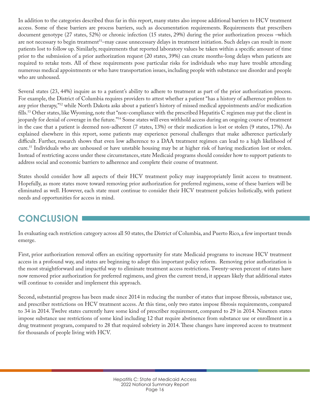In addition to the categories described thus far in this report, many states also impose additional barriers to HCV treatment access. Some of these barriers are process barriers, such as documentation requirements. Requirements that prescribers document genotype (27 states, 52%) or chronic infection (15 states, 29%) during the prior authorization process –which are not necessary to begin treatment<sup>51</sup>–may cause unnecessary delays in treatment initiation. Such delays can result in more patients lost to follow up. Similarly, requirements that reported laboratory values be taken within a specific amount of time prior to the submission of a prior authorization request (20 states, 39%) can create months-long delays when patients are required to retake tests. All of these requirements pose particular risks for individuals who may have trouble attending numerous medical appointments or who have transportation issues, including people with substance use disorder and people who are unhoused.

Several states (23, 44%) inquire as to a patient's ability to adhere to treatment as part of the prior authorization process. For example, the District of Columbia requires providers to attest whether a patient "has a history of adherence problem to any prior therapy,"<sup>[52](#page-25-0)</sup> while North Dakota asks about a patient's history of missed medical appointments and/or medication fills[.53](#page-25-0) Other states, like Wyoming, note that "non-compliance with the prescribed Hepatitis C regimen may put the client in jeopardy for denial of coverage in the future."[54](#page-25-0) Some states will even withhold access during an ongoing course of treatment in the case that a patient is deemed non-adherent (7 states, 13%) or their medication is lost or stolen (9 states, 17%). As explained elsewhere in this report, some patients may experience personal challenges that make adherence particularly difficult. Further, research shows that even low adherence to a DAA treatment regimen can lead to a high likelihood of cure[.55](#page-25-0) Individuals who are unhoused or have unstable housing may be at higher risk of having medication lost or stolen. Instead of restricting access under these circumstances, state Medicaid programs should consider how to support patients to address social and economic barriers to adherence and complete their course of treatment.

States should consider how all aspects of their HCV treatment policy may inappropriately limit access to treatment. Hopefully, as more states move toward removing prior authorization for preferred regimens, some of these barriers will be eliminated as well. However, each state must continue to consider their HCV treatment policies holistically, with patient needs and opportunities for access in mind.

## **CONCLUSION**

In evaluating each restriction category across all 50 states, the District of Columbia, and Puerto Rico, a few important trends emerge.

First, prior authorization removal offers an exciting opportunity for state Medicaid programs to increase HCV treatment access in a profound way, and states are beginning to adopt this important policy reform. Removing prior authorization is the most straightforward and impactful way to eliminate treatment access restrictions. Twenty-seven percent of states have now removed prior authorization for preferred regimens, and given the current trend, it appears likely that additional states will continue to consider and implement this approach.

Second, substantial progress has been made since 2014 in reducing the number of states that impose fibrosis, substance use, and prescriber restrictions on HCV treatment access. At this time, only two states impose fibrosis requirements, compared to 34 in 2014. Twelve states currently have some kind of prescriber requirement, compared to 29 in 2014. Nineteen states impose substance use restrictions of some kind including 12 that require abstinence from substance use or enrollment in a drug treatment program, compared to 28 that required sobriety in 2014. These changes have improved access to treatment for thousands of people living with HCV.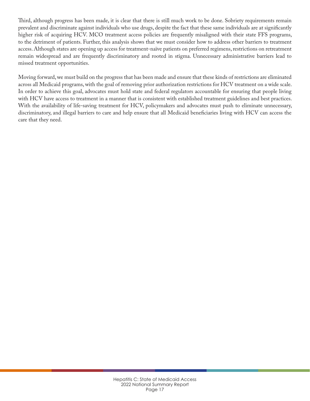Third, although progress has been made, it is clear that there is still much work to be done. Sobriety requirements remain prevalent and discriminate against individuals who use drugs, despite the fact that these same individuals are at significantly higher risk of acquiring HCV. MCO treatment access policies are frequently misaligned with their state FFS programs, to the detriment of patients. Further, this analysis shows that we must consider how to address other barriers to treatment access. Although states are opening up access for treatment-naïve patients on preferred regimens, restrictions on retreatment remain widespread and are frequently discriminatory and rooted in stigma. Unnecessary administrative barriers lead to missed treatment opportunities.

Moving forward, we must build on the progress that has been made and ensure that these kinds of restrictions are eliminated across all Medicaid programs, with the goal of removing prior authorization restrictions for HCV treatment on a wide scale. In order to achieve this goal, advocates must hold state and federal regulators accountable for ensuring that people living with HCV have access to treatment in a manner that is consistent with established treatment guidelines and best practices. With the availability of life-saving treatment for HCV, policymakers and advocates must push to eliminate unnecessary, discriminatory, and illegal barriers to care and help ensure that all Medicaid beneficiaries living with HCV can access the care that they need.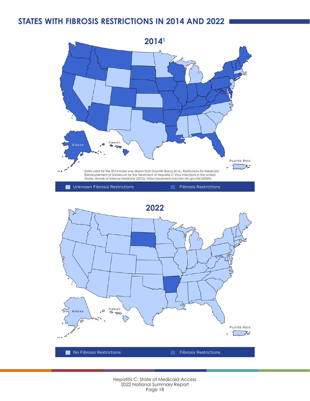## **STATES WITH FIBROSIS RESTRICTIONS IN 2014 AND 2022**



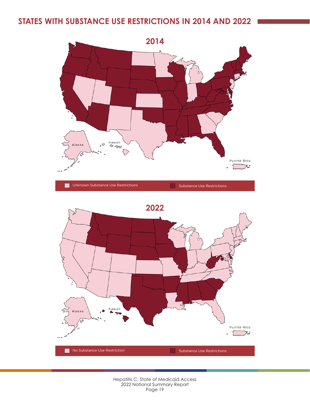## **STATES WITH SUBSTANCE USE RESTRICTIONS IN 2014 AND 2022**



| Unknown Substance Use Restrictions | Substance Use Restrictions |
|------------------------------------|----------------------------|
|                                    |                            |

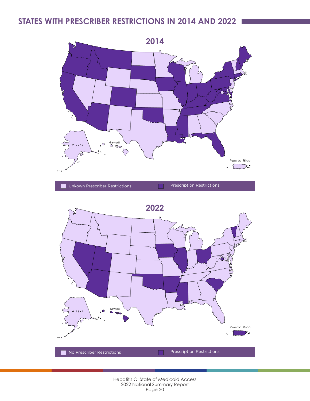## **STATES WITH PRESCRIBER RESTRICTIONS IN 2014 AND 2022**



Unkown Prescriber Restrictions Prescription Restrictions



#### Hepatitis C: State of Medicaid Access 2022 National Summary Report Page 20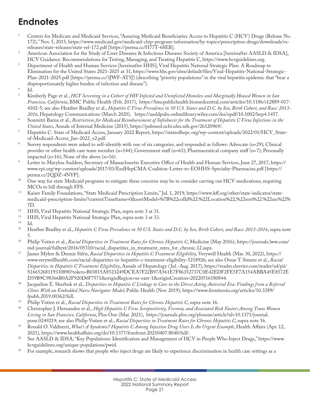## <span id="page-23-0"></span>**Endnotes**

- <sup>1</sup> Centers for Medicare and Medicaid Services, "Assuring Medicaid Beneficiaries Access to Hepatitis C (HCV) Drugs (Release No. 172)," Nov. 5, 2015, https://www.medicaid.gov/medicaid-chip-program-information/by-topics/prescription-drugs/downloads/rxreleases/state-releases/state-rel-172.pdf [https://perma.cc/H77T-68EB].
- <sup>2</sup> American Association for the Study of Liver Diseases & Infectious Diseases Society of America [hereinafter AASLD & IDSA],
- HCV Guidance: Recommendations for Testing, Managing, and Treating Hepatitis C, https://www.hcvguidelines.org. 3 Department of Health and Human Services [hereinafter HHS], Viral Hepatitis National Strategic Plan: A Roadmap to Elimination for the United States 2021-2025 at 31, https://www.hhs.gov/sites/default/files/Viral-Hepatitis-National-Strategic-Plan-2021-2025.pdf [https://perma.cc/3JWF-AT5J] (describing "priority populations" in the viral hepatitis epidemic that "bear a disproportionately higher burden of infection and disease").
- $\frac{4}{5}$  Id.
- <sup>5</sup> Kimberly Page et al., *HCV Screening in a Cohort of HIV Infected and Uninfected Homeless and Marginally Housed Women in San Francisco, California*, BMC Public Health (Feb. 2017), https://bmcpublichealth.biomedcentral.com/articles/10.1186/s12889-017- 4102-5; see also Heather Bradley et al., *Hepatitis C Virus Prevalence in 50 U.S. States and D.C. by Sex, Birth Cohort, and Race: 2013- 2016*, Hepatology Communications (March 2020), https://aasldpubs.onlinelibrary.wiley.com/doi/epdf/10.1002/hep4.1457.
- <sup>6</sup> Soumitri Barua et al., *Restrictions for Medicaid Reimbursement of Sofosbuvir for the Treatment of Hepatitis C Virus Infections in the United States*, Annals of Internal Medicine (2015), https://pubmed.ncbi.nlm.nih.gov/26120969/.
- <sup>7</sup> Hepatitis C: State of Medicaid Access, January 2022 Report, https://stateofhepc.org/wp-content/uploads/2022/01/HCV\_Stateof-Medicaid-Access\_Jan-2022\_v2.pdf.
- <sup>8</sup> Survey respondents were asked to self-identify with one of six categories, and responded as follows: Advocate (n=29); Clinical provider or other health care team member (n=144); Government staff (n=63); Pharmaceutical company staff (n=7); Personally impacted (n=16); None of the above (n=16).
- <sup>9</sup> Letter to Marylou Sudders, Secretary of Massachusetts Executive Office of Health and Human Services, June 27, 2017, https:// www.vpi.org/wp-content/uploads/2017/03/EndHepCMA-Coalition-Letter-to-EOHHS-Specialty-Pharmacies.pdf [https:// perma.cc/2QDZ-4NYP].
- <sup>10</sup> One way for state Medicaid programs to mitigate these concerns may be to consider carving out HCV medications, requiring MCOs to bill through FFS.
- <sup>11</sup> Kaiser Family Foundations, "State Medicaid Prescription Limits," Jul. 1, 2019, https://www.kff.org/other/state-indicator/statemedicaid-prescription-limits/?currentTimeframe=0&sortModel=%7B%22colId%22:%22Location%22,%22sort%22:%22asc%22% 7D.
- <sup>12</sup> HHS, Viral Hepatitis National Strategic Plan, supra note 3 at 31.<br><sup>13</sup> HHS, Viral Hepatitic National Strategic Plan, supra note 3 at 33.
- <sup>13</sup> HHS, Viral Hepatitis National Strategic Plan, supra note 3 at 33.
- $14$  Id.<br> $15$  H<sub>o</sub>
- <sup>15</sup> Heather Bradley et al., *Hepatitis C Virus Prevalence in 50 U.S. States and D.C. by Sex, Birth Cohort, and Race: 2013-2016*, supra note 5.
- <sup>16</sup> Philip Vutien et al., *Racial Disparities in Treatment Rates for Chronic Hepatitis C*, Medicine (May 2016), https://journals.lww.com/ md-journal/fulltext/2016/05310/racial\_disparities\_in\_treatment\_rates\_for\_chronic.12.aspx.
- <sup>17</sup> James Myhre & Dennis Sifris, *Racial Disparities in Hepatitis C Treatment Eligibility*, Verywell Health (Mar. 30, 2022), https:// www.verywellhealth.com/racial-disparities-in-hepatitis-c-treatment-eligibility-5218926; see also Omar T. Simms et al., *Racial Disparities in Hepatitis C Treatment Eligibility*, Annals of Hepatology ( Jul.-Aug. 2017), https://reader.elsevier.com/reader/sd/pii/ S1665268119310890?token=B03815A8523249DCEA7F22B97A561E7F86352737C0E42EDF2FE5F7A154ABBA45E8572E D39B9C98366B0A2F920D0F7571&originRegion=us-east-1&originCreation=20220516180844.
- <sup>18</sup> Jacqueline E. Sherbuk et al., *Disparities in Hepatitis C Linkage to Care in the Direct Acting Antiviral Era: Findings from a Referral Clinic With an Embedded Nurse Navigator Model*, Public Health (Nov. 2019), https://www.frontiersin.org/articles/10.3389/ fpubh.2019.00362/full.
- <sup>19</sup> Philip Vutien et al., *Racial Disparities in Treatment Rates for Chronic Hepatitis C*, supra note 16.
- <sup>20</sup> Christopher J. Hernandez et al., *High Hepatitis C Virus Seropositivity, Viremia, and Associated Risk Factors Among Trans Women Living in San Francisco[,](https://www.tandfonline.com/doi/full/10.1080/09540121.2020.1739204) California*, Plos One (Mar. 2021), https://journals.plos.org/plosone/article?id=10.1371/journal. pone.0249219; see also Philip Vutien et al., *Racial Disparities in Treatment Rates for Chronic Hepatitis C*, supra note 16.
- <sup>21</sup> Ronald O. Valdiserri, *What's A Syndemic? Hepatitis C Among Injection Drug Users Is An Urgent Example*, Health Affairs (Apr. 12, 2021), https://www.healthaffairs.org/do/10.1377/forefront.20210407.8040/full/.
- <sup>22</sup> See AASLD & IDSA, "Key Populations: Identification and Management of HCV in People Who Inject Drugs," https://www. hcvguidelines.org/unique-populations/pwid.
- <sup>23</sup> For example, research shows that people who inject drugs are likely to experience discrimination in health care settings as a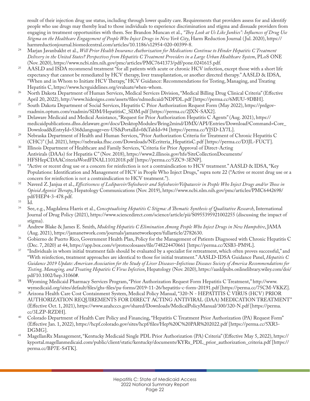<span id="page-24-0"></span>result of their injection drug use status, including through lower quality care. Requirements that providers assess for and identify people who use drugs may thereby lead to those individuals to experience discrimination and stigma and dissuade providers from engaging in treatment opportunities with them. See Brandon Muncan et al., *"They Look at Us Like Junkies": Influences of Drug Use Stigma on the Healthcare Engagement of People Who Inject Drugs in New York City*, Harm Reduction Journal ( Jul. 2020), [https://](https://harmreductionjournal.biomedcentral.com/articles/10.1186/s12954-020-00399-8) [harmreductionjournal.biomedcentral.com/articles/10.1186/s12954-020-00399-8.](https://harmreductionjournal.biomedcentral.com/articles/10.1186/s12954-020-00399-8)

- <sup>24</sup> Marjan Javanbakht et al., *Will Prior Health Insurance Authorization for Medications Continue to Hinder Hepatitis C Treatment Delivery in the United States? Perspectives from Hepatitis C Treatment Providers in a Large Urban Healthcare System*, PLoS ONE (Nov. 2020), https://www.ncbi.nlm.nih.gov/pmc/articles/PMC7641373/pdf/pone.0241615.pdf.
- <sup>25</sup> AASLD and ISDA recommend treatment "for all patients with acute or chronic HCV infection, except those with a short life expectancy that cannot be remediated by HCV therapy, liver transplantation, or another directed therapy." AASLD & IDSA, "When and in Whom to Initiate HCV Therapy," HCV Guidance: Recommendations for Testing, Managing, and Treating Hepatitis C, https://www.hcvguidelines.org/evaluate/when-whom.
- <sup>26</sup> North Dakota Department of Human Services, Medical Services Division, "Medical Billing Drug Clinical Criteria" (Effective April 20, 2022), http://www.hidesigns.com/assets/files/ndmedicaid/NDPDL.pdf [https://perma.cc/6MUU-9DBH].
- <sup>27</sup> South Dakota Department of Social Services, Hepatitis C Prior Authorization Request Form (May 2022), https://prdgovrxadmin.optum.com/rxadmin/SDM/HepatitisC\_SDM.pdf [https://perma.cc/2JXN-SAX2].
- <sup>28</sup> Delaware Medicaid and Medical Assistance, "Request for Prior Authorization Hepatitis C Agents" (Aug. 2021), https:// medicaidpublications.dhss.delaware.gov/docs/DesktopModules/Bring2mind/DMX/API/Entries/Download?Command=Core\_ Download&EntryId=536&language=en-US&PortalId=0&TabId=94 [https://perma.cc/YJ5D-LY7L].
- <sup>29</sup> Nebraska Department of Health and Human Services, "Prior Authorization Criteria for Treatment of Chronic Hepatitis C (CHC)" ( Jul. 2021), https://nebraska.fhsc.com/Downloads/NEcriteria\_HepatitisC.pdf [https://perma.cc/D3JL-FUCT].
- <sup>30</sup> Illinois Department of Healthcare and Family Services, "Criteria for Prior Approval of Direct-Acting Antivirals (DAAs) for Hepatitis C" (Nov. 2018), https://www2.illinois.gov/hfs/SiteCollectionDocuments/ HFSHepCDAACriteriaWordFINAL11012018.pdf [https://perma.cc/5ZC9-3ENP].
- $31$  "Active or recent drug use or a concern for reinfection is not a contraindication to HCV treatment." AASLD & IDSA, "Key Populations: Identification and Management of HCV in People Who Inject Drugs," supra note 22 ("Active or recent drug use or a concern for reinfection is not a contraindication to HCV treatment.").
- <sup>32</sup> Naveed Z. Janjua et al., *Effectiveness of Ledipasvir/Sofosbuvir and Sofosbuvir/Velpatasvir in People Who Inject Drugs and/or Those in Opioid Agonist Therapy*, Hepatology Communications (Nov. 2019), https://www.ncbi.nlm.nih.gov/pmc/articles/PMC6442698/ pdf/HEP4-3-478.pdf.
- $\frac{33}{34}$  Id.
- <sup>34</sup> See, e.g., Magdalena Harris et al., *Conceptualising Hepatitis C Stigma: A Thematic Synthesis of Qualitative Research*, International Journal of Drug Policy (2021), https://www.sciencedirect.com/science/article/pii/S0955395921002255 (discussing the impact of stigma).
- <sup>35</sup> Andrew Blake & James E. Smith, *Modeling Hepatitis C Elimination Among People Who Inject Drugs in New Hampshire*, JAMA (Aug. 2021), https://jamanetwork.com/journals/jamanetworkopen/fullarticle/2782630.
- <sup>36</sup> Gobierno de Puerto Rico, Government Health Plan, Policy for the Management of Patients Diagnosed with Chronic Hepatitis C (Dec. 7, 2020) at 44, https://app.box.com/v/protocolosases/file/748224470661 [https://perma.cc/XSB3-PM9L].
- <sup>37</sup> "Individuals in whom initial treatment fails should be evaluated by a specialist for retreatment, which often proves successful," and "With reinfection, treatment approaches are identical to those for initial treatment." AASLD-IDSA Guidance Panel, *Hepatitis C Guidance 2019 Update: American Association for the Study of Liver Diseases–Infectious Diseases Society of America Recommendations for Testing, Managing, and Treating Hepatitis C Virus Infection*, Hepatology (Nov. 2020), https://aasldpubs.onlinelibrary.wiley.com/doi/ pdf/10.1002/hep.31060#.
- <sup>38</sup> Wyoming Medicaid Pharmacy Services Program, "Prior Authorization Request Form Hepatitis C Treatment," http://www. wymedicaid.org/sites/default/files/ghs-files/pa-forms/2019-11-26/hepatitis-c-form-20191.pdf [https://perma.cc/75CM-VKKZ].
- <sup>39</sup> Arizona Health Care Cost Containment System, Medical Policy Manual, "320-N HEPATITIS C VIRUS (HCV) PRIOR AUTHORIZATION REQUIREMENTS FOR DIRECT ACTING ANTIVIRAL (DAA) MEDICATION TREATMENT" (Effective Oct. 1, 2021), https://www.azahcccs.gov/shared/Downloads/MedicalPolicyManual/300/320-N.pdf [https://perma. cc/3LZP-RZDH].
- <sup>40</sup> Colorado Department of Health Care Policy and Financing, "Hepatitis C Treatment Prior Authorization (PA) Request Form" (Effective Jan. 1, 2022), https://hcpf.colorado.gov/sites/hcpf/files/Hep%20C%20PAR%202022.pdf [https://perma.cc/5XR3- DGMG].
- <sup>41</sup> MagellanRx Management, "Kentucky Medicaid Single PDL Prior Authorization (PA) Criteria" (Effective May 5, 2022), https:// kyportal.magellanmedicaid.com/public/client/static/kentucky/documents/KYRx\_PDL\_prior\_authorization\_criteria.pdf [https:// perma.cc/BP7E-S4TK].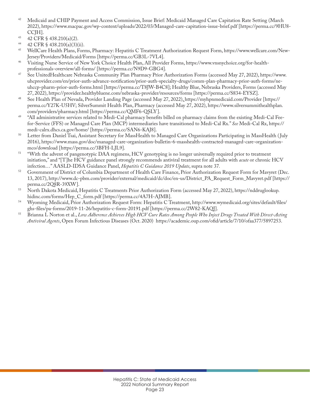- <span id="page-25-0"></span><sup>42</sup> Medicaid and CHIP Payment and Access Commission, Issue Brief: Medicaid Managed Care Capitation Rate Setting (March 2022), https://www.macpac.gov/wp-content/uploads/2022/03/Managed-care-capitation-issue-brief.pdf [https://perma.cc/9HU8- CCJH].
- 43 42 CFR § 438.210(a)(2).
- 44 42 CFR § 438.210(a)(3)(ii).
- <sup>45</sup> WellCare Health Plans, Forms, Pharmacy: Hepatitis C Treatment Authorization Request Form, https://www.wellcare.com/New-Jersey/Providers/Medicaid/Forms [https://perma.cc/GB3L-7VL4].
- <sup>46</sup> Visiting Nurse Service of New York Choice Health Plan, All Provider Forms, https://www.vnsnychoice.org/for-healthprofessionals-overview/all-forms/ [https://perma.cc/N9D9-GBG4].
- <sup>47</sup> See UnitedHealthcare Nebraska Community Plan Pharmacy Prior Authorization Forms (accessed May 27, 2022), https://www. uhcprovider.com/en/prior-auth-advance-notification/prior-auth-specialty-drugs/comm-plan-pharmacy-prior-auth-forms/neuhccp-pharm-prior-auth-forms.html [https://perma.cc/T8JW-B4C8]; Healthy Blue, Nebraska Providers, Forms (accessed May 27, 2022), https://provider.healthybluene.com/nebraska-provider/resources/forms [https://perma.cc/S834-EYSZ].
- <sup>48</sup> See Health Plan of Nevada, Provider Landing Page (accessed May 27, 2022)[,](https://myhpnmedicaid.com/Member) https://myhpnmedicaid.com/Provider [https:// perma.cc/Y27K-U5HV; SilverSummit Health Plan, Pharmacy (accessed May 27, 2022), https://www.silversummithealthplan. com/providers/pharmacy.html [https://perma.cc/QMF6-QSLY].
- <sup>49</sup> "All administrative services related to Medi-Cal pharmacy benefits billed on pharmacy claims from the existing Medi-Cal Feefor-Service (FFS) or Managed Care Plan (MCP) intermediaries have transitioned to Medi-Cal Rx." *See* Medi-Cal Rx, https:// medi-calrx.dhcs.ca.gov/home/ [https://perma.cc/SAN6-KAJ8].
- <sup>50</sup> Letter from Daniel Tsai, Assistant Secretary for MassHealth to Managed Care Organizations Participating in MassHealth (July 2016), https://www.mass.gov/doc/managed-care-organization-bulletin-6-masshealth-contracted-managed-care-organizationmco/download [https://perma.cc/3BFH-LJL9].
- <sup>51</sup> "With the advent of pangenotypic DAA regimens, HCV genotyping is no longer universally required prior to treatment initiation," and "[T]he HCV guidance panel strongly recommends antiviral treatment for all adults with *acute* or chronic HCV infection…" AASLD-IDSA Guidance Panel, *Hepatitis C Guidance 2019 Update*, supra note 37*.*
- <sup>52</sup> Government of District of Columbia Department of Health Care Finance, Prior Authorization Request Form for Mavyret (Dec. 13, 2017), http://www.dc-pbm.com/provider/external/medicaid/dc/doc/en-us/District\_PA\_Request\_Form\_Mavyret.pdf [https:// perma.cc/2Q8R-39XW].
- <sup>53</sup> North Dakota Medicaid, Hepatitis C Treatments Prior Authorization Form (accessed May 27, 2022), https://nddruglookup. hidinc.com/forms/Hep\_C\_form.pdf [https://perma.cc/4A7H-AJMB].
- <sup>54</sup> Wyoming Medicaid, Prior Authorization Request Form: Hepatitis C Treatment, http://www.wymedicaid.org/sites/default/files/ ghs-files/pa-forms/2019-11-26/hepatitis-c-form-20191.pdf [https://perma.cc/2W82-KAQJ].
- <sup>55</sup> Brianna L Norton et al., *Low Adherence Achieves High HCV Cure Rates Among People Who Inject Drugs Treated With Direct-Acting Antiviral Agents*, Open Forum Infectious Diseases (Oct. 2020) https://academic.oup.com/ofid/article/7/10/ofaa377/5897253.